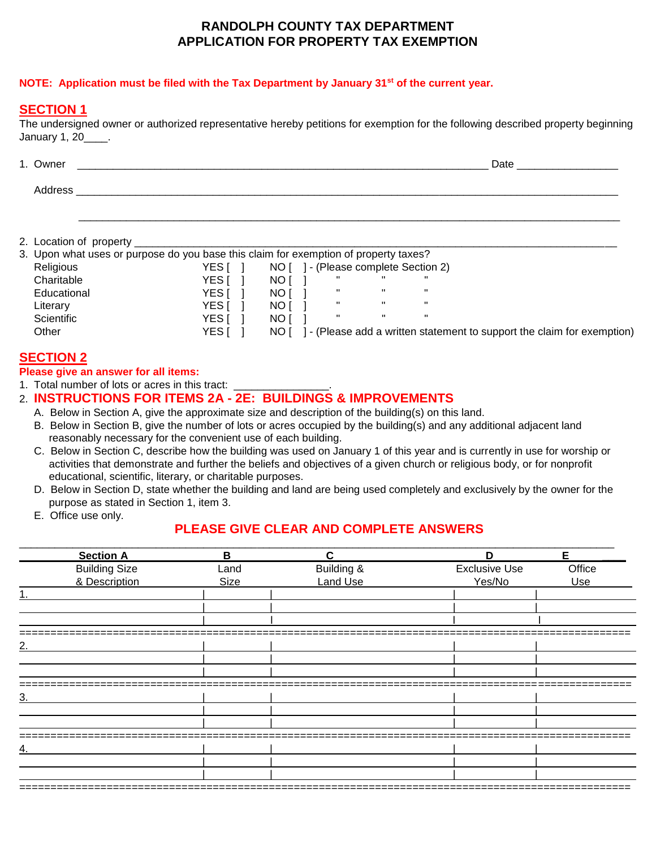### **RANDOLPH COUNTY TAX DEPARTMENT APPLICATION FOR PROPERTY TAX EXEMPTION**

### **NOTE: Application must be filed with the Tax Department by January 31st of the current year.**

## **SECTION 1**

The undersigned owner or authorized representative hereby petitions for exemption for the following described property beginning January 1, 20\_\_\_\_.

| 1. Owner | Date |
|----------|------|
| Address  |      |
|          |      |
|          |      |

2. Location of property \_\_\_\_\_\_\_\_\_\_\_\_\_\_\_\_\_\_\_\_\_\_\_\_\_\_\_\_\_\_\_\_\_\_\_\_\_\_\_\_\_\_\_\_\_\_\_\_\_\_\_\_\_\_\_\_\_\_\_\_\_\_\_\_\_\_\_\_\_\_\_\_\_\_\_\_\_\_\_\_\_

| 3. Upon what uses or purpose do you base this claim for exemption of property taxes? |       |      |  |                                 |                                                                       |
|--------------------------------------------------------------------------------------|-------|------|--|---------------------------------|-----------------------------------------------------------------------|
| Religious                                                                            | YES I | NOT  |  | 1 - (Please complete Section 2) |                                                                       |
| Charitable                                                                           | YES I | NO I |  |                                 |                                                                       |
| Educational                                                                          | YES I | NO I |  |                                 |                                                                       |
| Literary                                                                             | YES I | NO I |  |                                 |                                                                       |
| Scientific                                                                           | YES I | NO I |  |                                 | п.                                                                    |
| Other                                                                                | YES I | NO I |  |                                 | - (Please add a written statement to support the claim for exemption) |

# **SECTION 2**

**Please give an answer for all items:**

1. Total number of lots or acres in this tract:

# 2. **INSTRUCTIONS FOR ITEMS 2A - 2E: BUILDINGS & IMPROVEMENTS**

- A. Below in Section A, give the approximate size and description of the building(s) on this land.
- B. Below in Section B, give the number of lots or acres occupied by the building(s) and any additional adjacent land reasonably necessary for the convenient use of each building.
- C. Below in Section C, describe how the building was used on January 1 of this year and is currently in use for worship or activities that demonstrate and further the beliefs and objectives of a given church or religious body, or for nonprofit educational, scientific, literary, or charitable purposes.
- D. Below in Section D, state whether the building and land are being used completely and exclusively by the owner for the purpose as stated in Section 1, item 3.
- E. Office use only.

# **PLEASE GIVE CLEAR AND COMPLETE ANSWERS**

| <b>Section A</b>     | $\mathbf B$ | C               | D                    | Е      |
|----------------------|-------------|-----------------|----------------------|--------|
| <b>Building Size</b> | Land        | Building &      | <b>Exclusive Use</b> | Office |
| & Description        | Size        | <b>Land Use</b> | Yes/No               | Use    |
|                      |             |                 |                      |        |
|                      |             |                 |                      |        |
|                      |             |                 |                      |        |
|                      |             |                 |                      |        |
|                      |             |                 |                      |        |
|                      |             |                 |                      |        |
|                      |             |                 |                      |        |
|                      |             |                 |                      |        |
|                      |             |                 |                      |        |
|                      |             |                 |                      |        |
|                      |             |                 |                      |        |
|                      |             |                 |                      |        |
|                      |             |                 |                      |        |
|                      |             |                 |                      |        |
|                      |             |                 |                      |        |